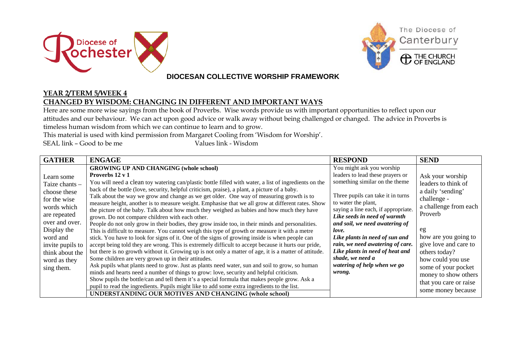



### **DIOCESAN COLLECTIVE WORSHIP FRAMEWORK**

#### **YEAR 2/TERM 5/WEEK 4 CHANGED BY WISDOM: CHANGING IN DIFFERENT AND IMPORTANT WAYS**

Here are some more wise sayings from the book of Proverbs. Wise words provide us with important opportunities to reflect upon our attitudes and our behaviour. We can act upon good advice or walk away without being challenged or changed. The advice in Proverbs is timeless human wisdom from which we can continue to learn and to grow.

This material is used with kind permission from Margaret Cooling from 'Wisdom for Worship'.

SEAL link – Good to be me Values link - Wisdom

| <b>GATHER</b>                                                                                                                                                                                                 | <b>ENGAGE</b>                                                                                                                                                                                                                                                                                                                                                                                                                                                                                                                                                                                                                                                                                                                                                                                                                                                                                                                | <b>RESPOND</b>                                                                                                                                                                                                                                | <b>SEND</b>                                                                                                                                                        |
|---------------------------------------------------------------------------------------------------------------------------------------------------------------------------------------------------------------|------------------------------------------------------------------------------------------------------------------------------------------------------------------------------------------------------------------------------------------------------------------------------------------------------------------------------------------------------------------------------------------------------------------------------------------------------------------------------------------------------------------------------------------------------------------------------------------------------------------------------------------------------------------------------------------------------------------------------------------------------------------------------------------------------------------------------------------------------------------------------------------------------------------------------|-----------------------------------------------------------------------------------------------------------------------------------------------------------------------------------------------------------------------------------------------|--------------------------------------------------------------------------------------------------------------------------------------------------------------------|
| Learn some<br>Taize chants -<br>choose these<br>for the wise<br>words which<br>are repeated<br>over and over.<br>Display the<br>word and<br>invite pupils to<br>think about the<br>word as they<br>sing them. | <b>GROWING UP AND CHANGING (whole school)</b><br>Proverbs 12 v 1<br>You will need a clean toy watering can/plastic bottle filled with water, a list of ingredients on the<br>back of the bottle (love, security, helpful criticism, praise), a plant, a picture of a baby.<br>Talk about the way we grow and change as we get older. One way of measuring growth is to<br>measure height, another is to measure weight. Emphasise that we all grow at different rates. Show<br>the picture of the baby. Talk about how much they weighed as babies and how much they have                                                                                                                                                                                                                                                                                                                                                    | You might ask you worship<br>leaders to lead these prayers or<br>something similar on the theme<br>Three pupils can take it in turns<br>to water the plant,<br>saying a line each, if appropriate.                                            | Ask your worship<br>leaders to think of<br>a daily 'sending'<br>challenge -<br>a challenge from each<br>Proverb                                                    |
|                                                                                                                                                                                                               | grown. Do not compare children with each other.<br>People do not only grow in their bodies, they grow inside too, in their minds and personalities.<br>This is difficult to measure. You cannot weigh this type of growth or measure it with a metre<br>stick. You have to look for signs of it. One of the signs of growing inside is when people can<br>accept being told they are wrong. This is extremely difficult to accept because it hurts our pride,<br>but there is no growth without it. Growing up is not only a matter of age, it is a matter of attitude.<br>Some children are very grown up in their attitudes.<br>Ask pupils what plants need to grow. Just as plants need water, sun and soil to grow, so human<br>minds and hearts need a number of things to grow: love, security and helpful criticism.<br>Show pupils the bottle/can and tell them it's a special formula that makes people grow. Ask a | Like seeds in need of warmth<br>and soil, we need awatering of<br>love.<br>Like plants in need of sun and<br>rain, we need awatering of care.<br>Like plants in need of heat and<br>shade, we need a<br>watering of help when we go<br>wrong. | eg<br>how are you going to<br>give love and care to<br>others today?<br>how could you use<br>some of your pocket<br>money to show others<br>that you care or raise |
|                                                                                                                                                                                                               | pupil to read the ingredients. Pupils might like to add some extra ingredients to the list.<br>UNDERSTANDING OUR MOTIVES AND CHANGING (whole school)                                                                                                                                                                                                                                                                                                                                                                                                                                                                                                                                                                                                                                                                                                                                                                         |                                                                                                                                                                                                                                               | some money because                                                                                                                                                 |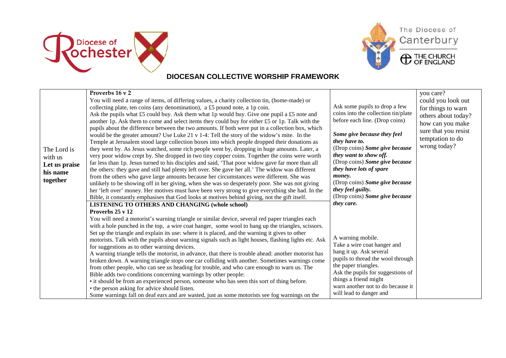



# The Diocese of Canterbury

**C** THE CHURCH

## **DIOCESAN COLLECTIVE WORSHIP FRAMEWORK**

| The Lord is<br>with us<br>Let us praise<br>his name<br>together | Proverbs 16 v 2<br>You will need a range of items, of differing values, a charity collection tin, (home-made) or<br>collecting plate, ten coins (any denomination), a £5 pound note, a 1p coin.<br>Ask the pupils what £5 could buy. Ask them what 1p would buy. Give one pupil a £5 note and<br>another 1p. Ask them to come and select items they could buy for either £5 or 1p. Talk with the<br>pupils about the difference between the two amounts. If both were put in a collection box, which<br>would be the greater amount? Use Luke 21 v 1-4: Tell the story of the widow's mite. In the<br>Temple at Jerusalem stood large collection boxes into which people dropped their donations as<br>they went by. As Jesus watched, some rich people went by, dropping in huge amounts. Later, a<br>very poor widow crept by. She dropped in two tiny copper coins. Together the coins were worth<br>far less than 1p. Jesus turned to his disciples and said, 'That poor widow gave far more than all<br>the others: they gave and still had plenty left over. She gave her all.' The widow was different<br>from the others who gave large amounts because her circumstances were different. She was<br>unlikely to be showing off in her giving, when she was so desperately poor. She was not giving<br>her 'left over' money. Her motives must have been very strong to give everything she had. In the<br>Bible, it constantly emphasises that God looks at motives behind giving, not the gift itself. | Ask some pupils to drop a few<br>coins into the collection tin/plate<br>before each line. (Drop coins)<br>Some give because they feel<br>they have to.<br>(Drop coins) Some give because<br>they want to show off.<br>(Drop coins) Some give because<br>they have lots of spare<br>money.<br>(Drop coins) Some give because<br>they feel guilty.<br>(Drop coins) Some give because | you care?<br>could you look out<br>for things to warn<br>others about today?<br>how can you make<br>sure that you resist<br>temptation to do<br>wrong today? |
|-----------------------------------------------------------------|------------------------------------------------------------------------------------------------------------------------------------------------------------------------------------------------------------------------------------------------------------------------------------------------------------------------------------------------------------------------------------------------------------------------------------------------------------------------------------------------------------------------------------------------------------------------------------------------------------------------------------------------------------------------------------------------------------------------------------------------------------------------------------------------------------------------------------------------------------------------------------------------------------------------------------------------------------------------------------------------------------------------------------------------------------------------------------------------------------------------------------------------------------------------------------------------------------------------------------------------------------------------------------------------------------------------------------------------------------------------------------------------------------------------------------------------------------------------------------------------------------------|------------------------------------------------------------------------------------------------------------------------------------------------------------------------------------------------------------------------------------------------------------------------------------------------------------------------------------------------------------------------------------|--------------------------------------------------------------------------------------------------------------------------------------------------------------|
|                                                                 | <b>LISTENING TO OTHERS AND CHANGING (whole school)</b><br>Proverbs 25 v 12<br>You will need a motorist's warning triangle or similar device, several red paper triangles each<br>with a hole punched in the top, a wire coat hanger, some wool to hang up the triangles, scissors.<br>Set up the triangle and explain its use: where it is placed, and the warning it gives to other<br>motorists. Talk with the pupils about warning signals such as light houses, flashing lights etc. Ask<br>for suggestions as to other warning devices.<br>A warning triangle tells the motorist, in advance, that there is trouble ahead: another motorist has<br>broken down. A warning triangle stops one car colliding with another. Sometimes warnings come<br>from other people, who can see us heading for trouble, and who care enough to warn us. The<br>Bible adds two conditions concerning warnings by other people:<br>• it should be from an experienced person, someone who has seen this sort of thing before.<br>• the person asking for advice should listen.<br>Some warnings fall on deaf ears and are wasted, just as some motorists see fog warnings on the                                                                                                                                                                                                                                                                                                                                           | they care.<br>A warning mobile.<br>Take a wire coat hanger and<br>hang it up. Ask several<br>pupils to thread the wool through<br>the paper triangles.<br>Ask the pupils for suggestions of<br>things a friend might<br>warn another not to do because it<br>will lead to danger and                                                                                               |                                                                                                                                                              |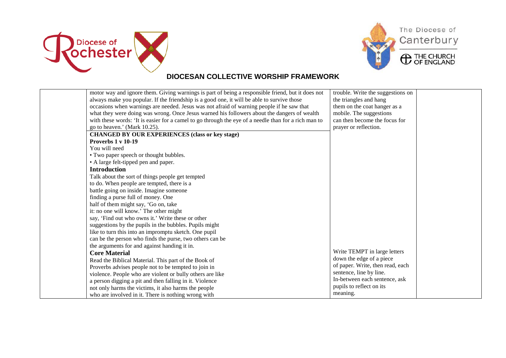



## **DIOCESAN COLLECTIVE WORSHIP FRAMEWORK**

| motor way and ignore them. Giving warnings is part of being a responsible friend, but it does not    | trouble. Write the suggestions on |  |
|------------------------------------------------------------------------------------------------------|-----------------------------------|--|
| always make you popular. If the friendship is a good one, it will be able to survive those           | the triangles and hang            |  |
| occasions when warnings are needed. Jesus was not afraid of warning people if he saw that            | them on the coat hanger as a      |  |
| what they were doing was wrong. Once Jesus warned his followers about the dangers of wealth          | mobile. The suggestions           |  |
| with these words: 'It is easier for a camel to go through the eye of a needle than for a rich man to | can then become the focus for     |  |
| go to heaven.' (Mark 10.25).                                                                         | prayer or reflection.             |  |
| <b>CHANGED BY OUR EXPERIENCES (class or key stage)</b>                                               |                                   |  |
| Proverbs 1 v 10-19                                                                                   |                                   |  |
| You will need                                                                                        |                                   |  |
| • Two paper speech or thought bubbles.                                                               |                                   |  |
| • A large felt-tipped pen and paper.                                                                 |                                   |  |
| <b>Introduction</b>                                                                                  |                                   |  |
| Talk about the sort of things people get tempted                                                     |                                   |  |
| to do. When people are tempted, there is a                                                           |                                   |  |
| battle going on inside. Imagine someone                                                              |                                   |  |
| finding a purse full of money. One                                                                   |                                   |  |
| half of them might say, 'Go on, take                                                                 |                                   |  |
| it: no one will know.' The other might                                                               |                                   |  |
| say, 'Find out who owns it.' Write these or other                                                    |                                   |  |
| suggestions by the pupils in the bubbles. Pupils might                                               |                                   |  |
| like to turn this into an impromptu sketch. One pupil                                                |                                   |  |
| can be the person who finds the purse, two others can be                                             |                                   |  |
| the arguments for and against handing it in.                                                         |                                   |  |
| <b>Core Material</b>                                                                                 | Write TEMPT in large letters      |  |
| Read the Biblical Material. This part of the Book of                                                 | down the edge of a piece          |  |
| Proverbs advises people not to be tempted to join in                                                 | of paper. Write, then read, each  |  |
| violence. People who are violent or bully others are like                                            | sentence, line by line.           |  |
| a person digging a pit and then falling in it. Violence                                              | In-between each sentence, ask     |  |
| not only harms the victims, it also harms the people                                                 | pupils to reflect on its          |  |
| who are involved in it. There is nothing wrong with                                                  | meaning.                          |  |